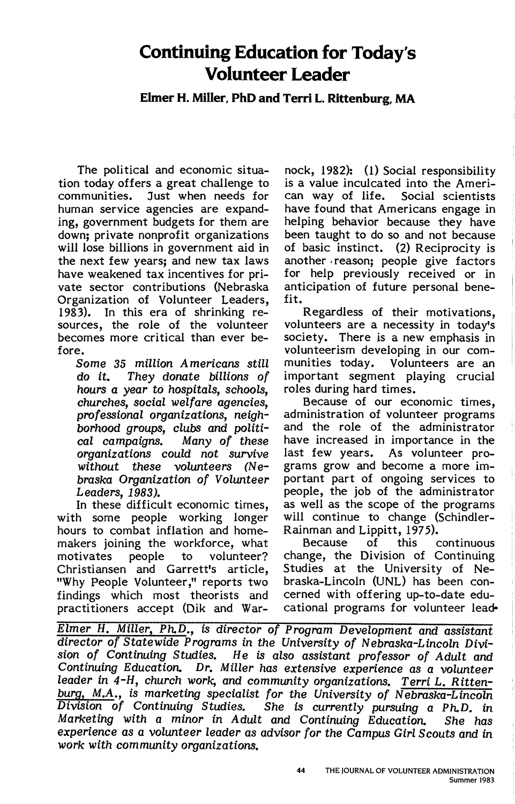# **Continuing Education for Today's Volunteer Leader**

**Elmer H. Miller, PhD and Terri L. Rittenburg, MA** 

tion today offers a great challenge to is a value inculcated into the Americommunities. Just when needs for can way of life. Social scientists<br>human service agencies are expand- have found that Americans engage in ing, government budgets for them are helping behavior because they have down; private nonprofit organizations been taught to do so and not because down; private nonprofit organizations<br>will lose billions in government aid in the next few years; and new tax laws another reason; people give factors have weakened tax incentives for pri- for help previously received or in vate sector contributions (Nebraska anticipation of future personal bene-Organization of Volunteer Leaders, fit. 1983). In this era of shrinking re-<br>sources, the role of the volunteer volunteers are a necessity in today's sources, the role of the volunteer<br>becomes more critical than ever be-

hours a year to hospitals, schools, churches, social welfare agencies. borhood groups, clubs and politi-<br>cal campaigns. Many of these

with some people working longer will continue to change (Schindler-<br>hours to combat inflation and home- Rainman and Lippitt, 1975). hours to combat inflation and home-<br>
makers ioining the workforce, what Because of this makers joining the workforce, what Because of this continuous motivates people to volunteer? change, the Division of Continuing Christiansen and Garrett's article, "Why People Volunteer," reports two braska-Lincoln (UNL) has been confindings which most theorists and cerned with offering up-to-date edu-<br>practitioners accept (Dik and War- cational programs for volunteer leadpractitioners accept (Dik and War-

The political and economic situa- nock, 1982): (1) Social responsibility have found that Americans engage in of basic instinct. (2) Reciprocity is

society. There is a new emphasis in fore. volunteerism developing in our com-Some 35 million Americans still munities today. Volunteers are an do it. They donate billions of important segment playing crucial hours a vear to hospitals, schools. roles during hard times.

Because of our economic times, professional organizations, neigh- administration of volunteer programs<br>borhood groups, clubs and politi- and the role of the administrator cal campaigns. Many of these have increased in importance in the organizations could not survive last few years. As volunteer prowithout these volunteers (Ne- grams grow and become a more imbraska Organization of Volunteer portant part of ongoing services to Leaders, 1983). The people, the job of the administrator In these difficult economic times, as well as the scope of the programs

Elmer H. Miller, Ph.D., is director of Program Development and assistant director of Statewide Programs in the University of Nebraska-Lincoln Division of Continuing Studies. He is also assistant professor of Adult and Continuing Education. Dr. Miller has extensive experience as a volunteer leader in 4-H, church work, and community organizations. Terri L. Rittenburg, M.A., is marketing specialist for the University of Nebraska-Lincoln<br>Division of Continuing Studies. She is currently pursuing a Ph.D. in She is currently pursuing a Ph.D. in Marketing with a minor in Adult and Continuing Education. She has experience as a volunteer leader as advisor for the Campus Girl Scouts and in work with community organizations.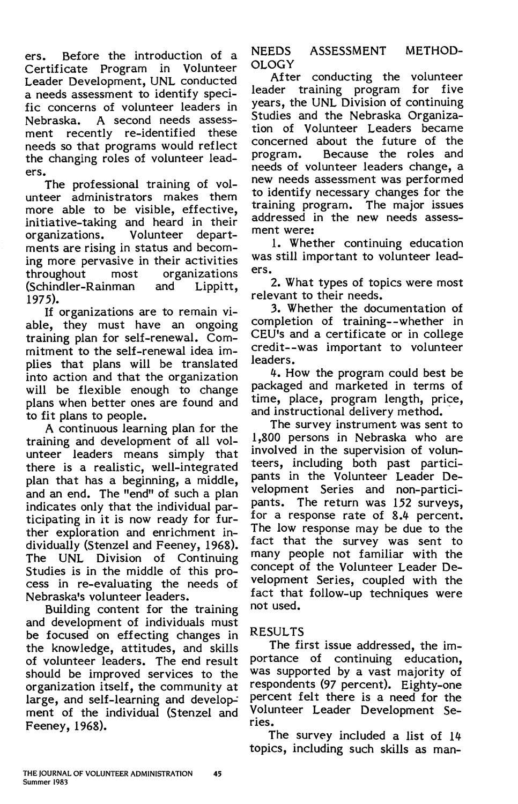ers. Before the introduction of a Certificate Program in Volunteer Leader Development, UNL conducted a needs assessment to identify specific concerns of volunteer leaders in Nebraska. A second needs assessment recently re-identified these needs so that programs would reflect the changing roles of volunteer leaders.

The professional training of volunteer administrators makes them more able to be visible, effective, initiative-taking and heard in their<br>organizations. Volunteer depart-Volunteer departments are rising in status and becoming more pervasive in their activities organizations<br>and Lippitt, (Schindler-Rainman 1975).

If organizations are to remain viable, they must have an ongoing training plan for self-renewal. Commitment to the self-renewal idea implies that plans will be translated into action and that the organization will be flexible enough to change plans when better ones are found and to fit plans to people.

A continuous learning plan for the training and development of all volunteer leaders means simply that there is a realistic, well-integrated plan that has a beginning, a middle, and an end. The "end" of such a plan indicates only that the individual participating in it is now ready for further exploration and enrichment individually (Stenzel and Feeney, 1968). The UNL Division of Continuing Studies is in the middle of this process in re-evaluating the needs of Nebraska's volunteer leaders.

Building content for the training and development of individuals must be focused on effecting changes in the knowledge, attitudes, and skills of volunteer leaders. The end result should be improved services to the organization itself, the community at large, and self-learning and development of the individual (Stenzel and Feeney, 1968).

NEEDS **ASSESSMENT METHOD-OLOGY** 

After conducting the volunteer leader training program for five years, the UNL Division of continuing Studies and the Nebraska Organization of Volunteer Leaders became concerned about the future of the<br>program. Because the roles and Because the roles and needs of volunteer leaders change, a new needs assessment was performed to identify necessary changes for the<br>training program. The major issues training program. addressed in the new needs assessment were:

1. Whether continuing education was still important to volunteer leaders.

2. What types of topics were most relevant to their needs.

3. Whether the documentation of completion of training--whether in CEU's and a certificate or in college credit--was important to volunteer leaders.

4. How the program could best be packaged and marketed in terms of time, place, program length, price, and instructional delivery method.

The survey instrument was sent to 1,800 persons in Nebraska who are involved in the supervision of volunteers, including both past participants in the Volunteer Leader Development Series and non-participants. The return was 152 surveys, for a response rate of 8.4 percent. The low response may be due to the fact that the survey was sent to many people not familiar with the concept of the Volunteer Leader Development Series, coupled with the fact that follow-up techniques were not used.

# RESULTS

The first issue addressed, the importance of continuing education, was supported by a vast majority of respondents (97 percent). Eighty-one percent felt there is a need for the Volunteer Leader Development Series.

The survey included a list of 14 topics, including such skills as man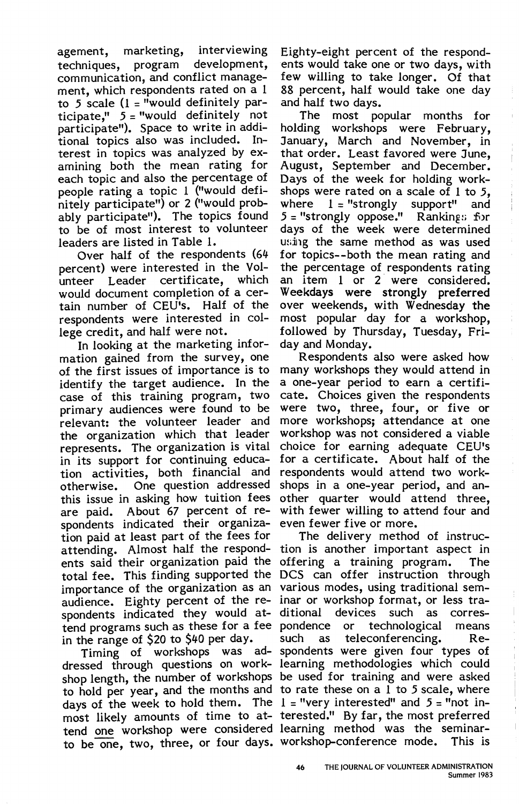agement, marketing, interviewing techniques, program development, communication, and conflict management, which respondents rated on a 1 to *5* scale (1 = "would definitely participate," *5* = "would definitely not participate"). Space to write in additional topics also was included. Interest in topics was analyzed by examining both the mean rating for each topic and also the percentage of people rating a topic 1 ("would definitely participate") or 2 ("would probably participate"). The topics found to be of most interest to volunteer leaders are listed in Table 1.

Over half of the respondents (64 percent) were interested in the Volunteer Leader certificate, which would document completion of a certain number of CEU's. Half of the respondents were interested in college credit, and half were not.

In looking at the marketing information gained from the survey, one of the first issues of importance is to identify the target audience. In the case of this training program, two primary audiences were found to be relevant: the volunteer leader and the organization which that leader represents. The organization is vital in its support for continuing education activities, both financial and otherwise. One question addressed this issue in asking how tuition fees are paid. About 67 percent of respondents indicated their organization paid at least part of the fees for attending. Almost half the respondents said their organization paid the total fee. This finding supported the importance of the organization as an various modes, using traditional semaudience. Eighty percent of the re-inar or workshop format, or less traspondents indicated they would at- ditional devices such as corres tend programs such as these for a fee pondence or technological means in the range of \$20 to \$40 per day.

dressed through questions on work-learning methodologies which could shop length, the number of workshops be used for training and were asked to hold per year, and the months and to rate these on a  $1$  to 5 scale, where days of the week to hold them. The 1 = "very interested" and *5* = "not inmost likely amounts of time to at- terested." By far, the most preferred tend one workshop were considered learning method was the seminarto be one, two, three, or four days. workshop-conference mode. This is

Eighty-eight percent of the respondents would take one or two days, with few willing to take longer. Of that 88 percent, half would take one day and half two days.

The most popular months for holding workshops were February, January, March and November, in that order. Least favored were June, August, September and December. Days of the week for holding workshops were rated on a scale of 1 to *5,*   $1 =$  "strongly support" and *5* = "strongly oppose." Ranking:; for days of the week were determined using the same method as was used for topics--both the mean rating and the percentage of respondents rating an item 1 or 2 were considered. Weekdays were strongly preferred over weekends, with Wednesday the most popular day for a workshop, followed by Thursday, Tuesday, Friday and Monday.

Respondents also were asked how many workshops they would attend in a one-year period to earn a certificate. Choices given the respondents were two, three, four, or five or more workshops; attendance at one workshop was not considered a viable choice for earning adequate CEU's for a certificate. About half of the respondents would attend two workshops in a one-year period, and another quarter would attend three, with fewer willing to attend four and even fewer five or more.

Timing of workshops was ad-spondents were given four types of The delivery method of instruction is another important aspect in offering a training program. The DCS can offer instruction through such as teleconferencing. Re-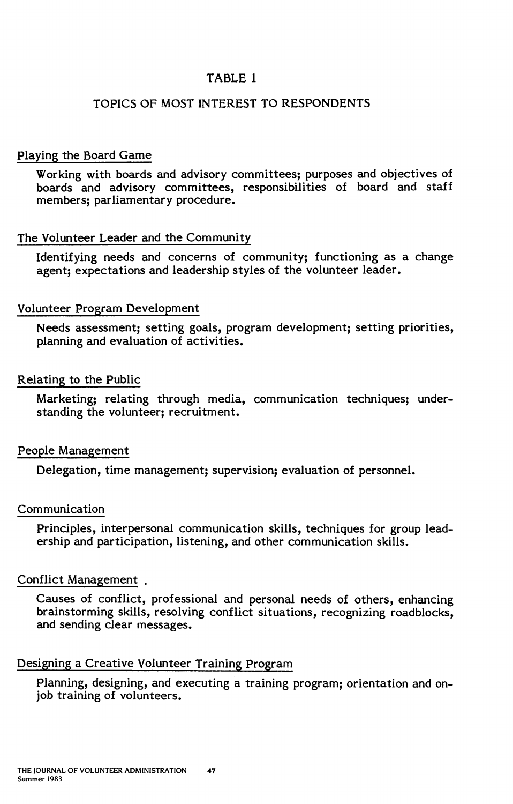# TABLE 1

# TOPICS OF MOST INTEREST TO RESPONDENTS

## Playing the Board Game

Working with boards and advisory committees; purposes and objectives of boards and advisory committees, responsibilities of board and staff members; parliamentary procedure.

## The Volunteer Leader and the Community

Identifying needs and concerns of community; functioning as a change agent; expectations and leadership styles of the volunteer leader.

## Volunteer Program Development

Needs assessment; setting goals, program development; setting priorities, planning and evaluation of activities.

## Relating to the Public

Marketing; relating through media, communication techniques; understanding the volunteer; recruitment.

## People Management

Delegation, time management; supervision; evaluation of personnel.

## Communication

Principles, interpersonal communication skills, techniques for group leadership and participation, listening, and other communication skills.

## Conflict Management .

Causes of conflict, professional and personal needs of others, enhancing brainstorming skills, resolving conflict situations, recognizing roadblocks, and sending clear messages.

# Designing a Creative Volunteer Training Program

Planning, designing, and executing a training program; orientation and onjob training of volunteers.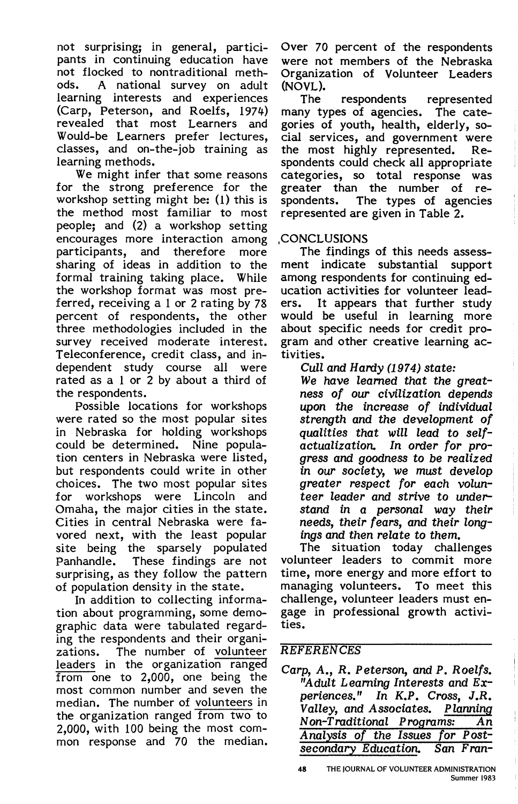not surprising; in general, participants in continuing education have not flocked to nontraditional meth-<br>ods. A national survey on adult A national survey on adult learning interests and experiences (Carp, Peterson, and Roelfs, 1974) revealed that most Learners and Would-be Learners prefer lectures, classes, and on-the-job training as learning methods.

We might infer that some reasons for the strong preference for the workshop setting might be: (l) this is the method most familiar to most people; and (2) a workshop setting encourages more interaction among<br>participants, and therefore more participants, and therefore sharing of ideas in addition to the formal training taking place. While the workshop format was most preferred, receiving a 1 or 2 rating by 78 percent of respondents, the other three methodologies included in the survey received moderate interest. Teleconference, credit class, and independent study course all were rated as a 1 or 2 by about a third of the respondents.

Possible locations for workshops were rated so the most popular sites in Nebraska for holding workshops could be determined. Nine population centers in Nebraska were listed, but respondents could write in other choices. The two most popular sites for workshops were Lincoln and Omaha, the major cities in the state. Cities in central Nebraska were favored next, with the least popular site being the sparsely populated Panhandle. These findings are not surprising, as they follow the pattern of population density in the state.

In addition to collecting information about programming, some demographic data were tabulated regarding the respondents and their organi-<br>zations. The number of volunteer The number of volunteer leaders in the organization ranged from one to 2,000, one being the most common number and seven the median. The number of volunteers in the organization ranged from two to 2,000, with 100 being the most common response and 70 the median.

Over 70 percent of the respondents were not members of the Nebraska Organization of Volunteer Leaders (NOVL).<br>The

respondents represented many types of agencies. The categories of youth, health, elderly, social services, and government were<br>the most highly represented. Rethe most highly represented. spondents could check all appropriate categories, so total response was greater than the number of<br>spondents. The types of age The types of agencies represented are given in Table 2.

# **,CONCLUSIONS**

The findings of this needs assessment indicate substantial support among respondents for continuing education activities for volunteer leaders. It appears that further study would be useful in learning more about specific needs for *credit* program and other creative learning activities.

Cull and Hardy (1974) state:

We have learned that the greatness of our civilization depends upon the increase of individual strength and the development of qualities that will lead to selfactualization. In order for progress and goodness to be realized in our society, we must develop greater respect for each volunteer leader and strive to understand in a personal way their needs, their fears, and their longings and then relate to them.

The situation today challenges volunteer leaders to *commit* more time, more energy and more effort to managing volunteers. To meet this challenge, volunteer leaders must engage *in* professional growth activities.

# **REFERENCES**

Carp, A., R. Peterson, and P. Roelfs. "Adult Leaming Interests and Experiences." In K.P. Cross, J.R.<br>Valley, and Associates. Planning Valley, and Associates. Non-Traditional Programs: An Analysis of the Issues for Postsecondary Education. San Fran-

**<sup>48</sup>** THE JOURNAL OF VOLUNTEER ADMINISTRATION Summer 1983